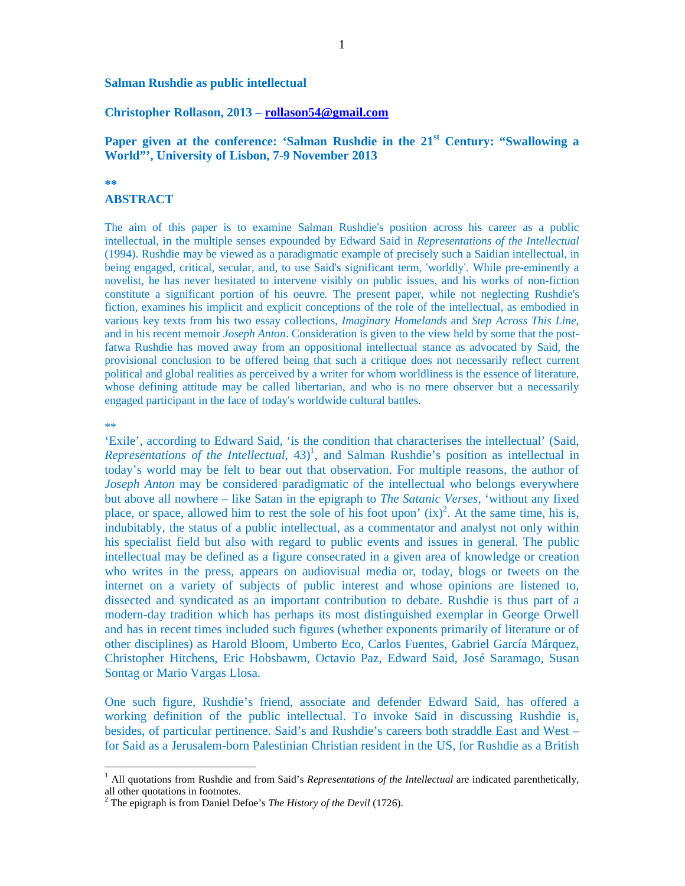## **Salman Rushdie as public intellectual**

## **Christopher Rollason, 2013 – rollason54@gmail.com**

# **Paper given at the conference: 'Salman Rushdie in the 21st Century: "Swallowing a World"', University of Lisbon, 7-9 November 2013**

#### **\*\***

### **ABSTRACT**

The aim of this paper is to examine Salman Rushdie's position across his career as a public intellectual, in the multiple senses expounded by Edward Said in *Representations of the Intellectual* (1994). Rushdie may be viewed as a paradigmatic example of precisely such a Saidian intellectual, in being engaged, critical, secular, and, to use Said's significant term, 'worldly'. While pre-eminently a novelist, he has never hesitated to intervene visibly on public issues, and his works of non-fiction constitute a significant portion of his oeuvre. The present paper, while not neglecting Rushdie's fiction, examines his implicit and explicit conceptions of the role of the intellectual, as embodied in various key texts from his two essay collections, *Imaginary Homelands* and *Step Across This Line*, and in his recent memoir *Joseph Anton*. Consideration is given to the view held by some that the postfatwa Rushdie has moved away from an oppositional intellectual stance as advocated by Said, the provisional conclusion to be offered being that such a critique does not necessarily reflect current political and global realities as perceived by a writer for whom worldliness is the essence of literature, whose defining attitude may be called libertarian, and who is no mere observer but a necessarily engaged participant in the face of today's worldwide cultural battles.

## \*\*

-

'Exile', according to Edward Said, 'is the condition that characterises the intellectual' (Said,  $Representations$  of the Intellectual,  $43$ <sup>1</sup>, and Salman Rushdie's position as intellectual in today's world may be felt to bear out that observation. For multiple reasons, the author of *Joseph Anton* may be considered paradigmatic of the intellectual who belongs everywhere but above all nowhere – like Satan in the epigraph to *The Satanic Verses*, 'without any fixed place, or space, allowed him to rest the sole of his foot upon'  $(ix)^2$ . At the same time, his is, indubitably, the status of a public intellectual, as a commentator and analyst not only within his specialist field but also with regard to public events and issues in general. The public intellectual may be defined as a figure consecrated in a given area of knowledge or creation who writes in the press, appears on audiovisual media or, today, blogs or tweets on the internet on a variety of subjects of public interest and whose opinions are listened to, dissected and syndicated as an important contribution to debate. Rushdie is thus part of a modern-day tradition which has perhaps its most distinguished exemplar in George Orwell and has in recent times included such figures (whether exponents primarily of literature or of other disciplines) as Harold Bloom, Umberto Eco, Carlos Fuentes, Gabriel García Márquez, Christopher Hitchens, Eric Hobsbawm, Octavio Paz, Edward Said, José Saramago, Susan Sontag or Mario Vargas Llosa.

One such figure, Rushdie's friend, associate and defender Edward Said, has offered a working definition of the public intellectual. To invoke Said in discussing Rushdie is, besides, of particular pertinence. Said's and Rushdie's careers both straddle East and West – for Said as a Jerusalem-born Palestinian Christian resident in the US, for Rushdie as a British

<sup>&</sup>lt;sup>1</sup> All quotations from Rushdie and from Said's *Representations of the Intellectual* are indicated parenthetically, all other quotations in footnotes.

<sup>2</sup> The epigraph is from Daniel Defoe's *The History of the Devil* (1726).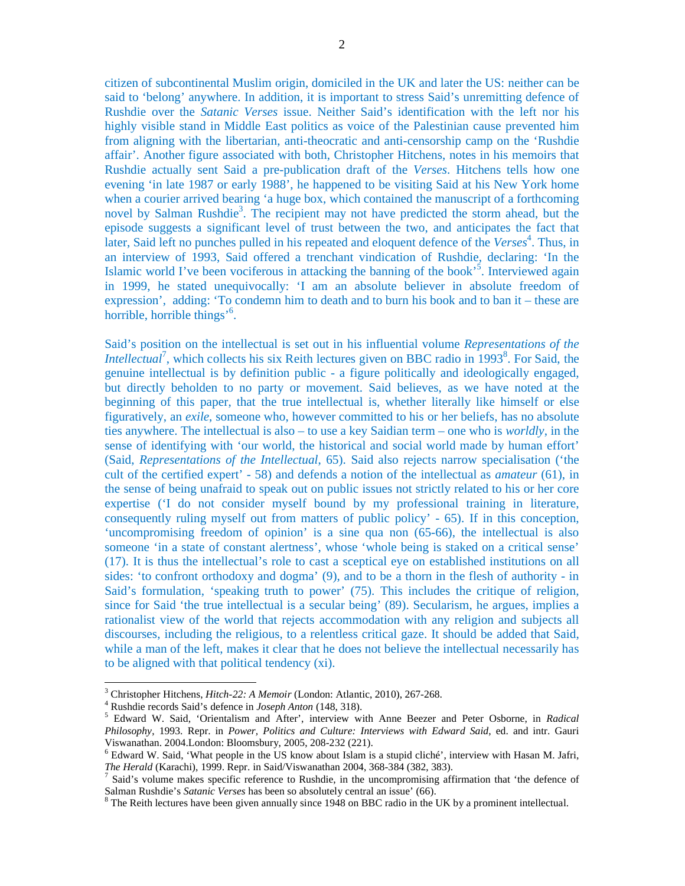citizen of subcontinental Muslim origin, domiciled in the UK and later the US: neither can be said to 'belong' anywhere. In addition, it is important to stress Said's unremitting defence of Rushdie over the *Satanic Verses* issue. Neither Said's identification with the left nor his highly visible stand in Middle East politics as voice of the Palestinian cause prevented him from aligning with the libertarian, anti-theocratic and anti-censorship camp on the 'Rushdie affair'. Another figure associated with both, Christopher Hitchens, notes in his memoirs that Rushdie actually sent Said a pre-publication draft of the *Verses*. Hitchens tells how one evening 'in late 1987 or early 1988', he happened to be visiting Said at his New York home when a courier arrived bearing 'a huge box, which contained the manuscript of a forthcoming novel by Salman Rushdie<sup>3</sup>. The recipient may not have predicted the storm ahead, but the episode suggests a significant level of trust between the two, and anticipates the fact that later, Said left no punches pulled in his repeated and eloquent defence of the *Verses*<sup>4</sup>. Thus, in an interview of 1993, Said offered a trenchant vindication of Rushdie, declaring: 'In the Islamic world I've been vociferous in attacking the banning of the book<sup>5</sup>. Interviewed again in 1999, he stated unequivocally: 'I am an absolute believer in absolute freedom of expression', adding: 'To condemn him to death and to burn his book and to ban it – these are horrible, horrible things<sup>56</sup>.

Said's position on the intellectual is set out in his influential volume *Representations of the Intellectual*<sup>7</sup>, which collects his six Reith lectures given on BBC radio in 1993<sup>8</sup>. For Said, the genuine intellectual is by definition public - a figure politically and ideologically engaged, but directly beholden to no party or movement. Said believes, as we have noted at the beginning of this paper, that the true intellectual is, whether literally like himself or else figuratively, an *exile*, someone who, however committed to his or her beliefs, has no absolute ties anywhere. The intellectual is also – to use a key Saidian term – one who is *worldly*, in the sense of identifying with 'our world, the historical and social world made by human effort' (Said, *Representations of the Intellectual*, 65). Said also rejects narrow specialisation ('the cult of the certified expert' - 58) and defends a notion of the intellectual as *amateur* (61), in the sense of being unafraid to speak out on public issues not strictly related to his or her core expertise ('I do not consider myself bound by my professional training in literature, consequently ruling myself out from matters of public policy' - 65). If in this conception, 'uncompromising freedom of opinion' is a sine qua non (65-66), the intellectual is also someone 'in a state of constant alertness', whose 'whole being is staked on a critical sense' (17). It is thus the intellectual's role to cast a sceptical eye on established institutions on all sides: 'to confront orthodoxy and dogma' (9), and to be a thorn in the flesh of authority - in Said's formulation, 'speaking truth to power' (75). This includes the critique of religion, since for Said 'the true intellectual is a secular being' (89). Secularism, he argues, implies a rationalist view of the world that rejects accommodation with any religion and subjects all discourses, including the religious, to a relentless critical gaze. It should be added that Said, while a man of the left, makes it clear that he does not believe the intellectual necessarily has to be aligned with that political tendency (xi).

<sup>&</sup>lt;sup>3</sup> Christopher Hitchens, *Hitch-22: A Memoir* (London: Atlantic, 2010), 267-268.<br><sup>4</sup> Rushdie records Said's defence in *Joseph Anton* (148, 318).<br><sup>5</sup> Edward W. Said, 'Orientalism and After', interview with Anne Beezer an *Philosophy*, 1993. Repr. in *Power, Politics and Culture: Interviews with Edward Said*, ed. and intr. Gauri Viswanathan. 2004.London: Bloomsbury, 2005, 208-232 (221).

<sup>&</sup>lt;sup>6</sup> Edward W. Said, 'What people in the US know about Islam is a stupid cliché', interview with Hasan M. Jafri, *The Herald* (Karachi), 1999. Repr. in Said/Viswanathan 2004, 368-384 (382, 383). *T* Said's volume makes specific reference to Rushdie, in the uncompromising affirmation that 'the defence of

Salman Rushdie's *Satanic Verses* has been so absolutely central an issue' (66). <sup>8</sup> The Reith lectures have been given annually since 1948 on BBC radio in the UK by a prominent intellectual.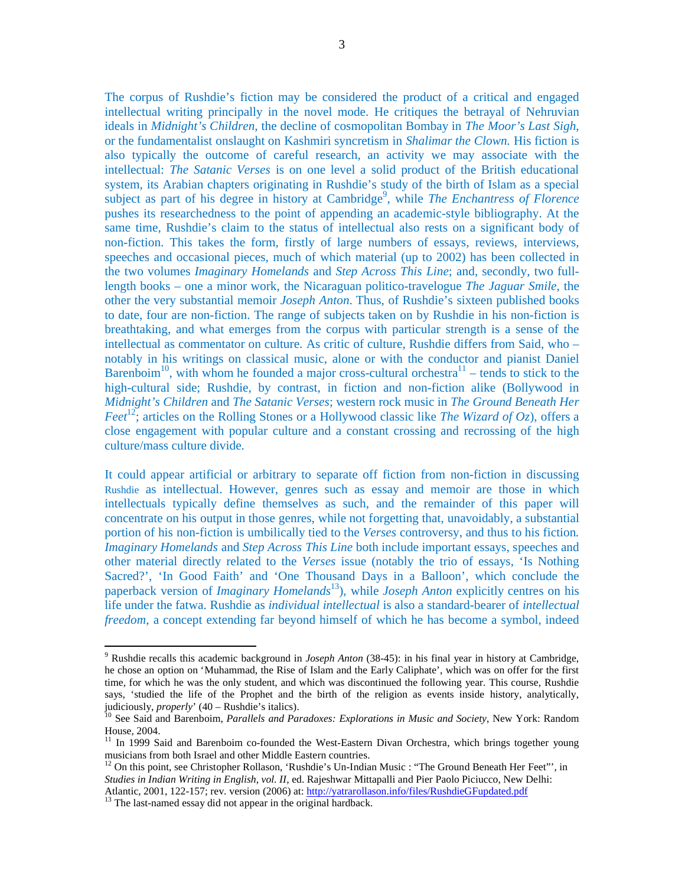The corpus of Rushdie's fiction may be considered the product of a critical and engaged intellectual writing principally in the novel mode. He critiques the betrayal of Nehruvian ideals in *Midnight's Children*, the decline of cosmopolitan Bombay in *The Moor's Last Sigh*, or the fundamentalist onslaught on Kashmiri syncretism in *Shalimar the Clown.* His fiction is also typically the outcome of careful research, an activity we may associate with the intellectual: *The Satanic Verses* is on one level a solid product of the British educational system, its Arabian chapters originating in Rushdie's study of the birth of Islam as a special subject as part of his degree in history at Cambridge<sup>9</sup>, while *The Enchantress of Florence* pushes its researchedness to the point of appending an academic-style bibliography. At the same time, Rushdie's claim to the status of intellectual also rests on a significant body of non-fiction. This takes the form, firstly of large numbers of essays, reviews, interviews, speeches and occasional pieces, much of which material (up to 2002) has been collected in the two volumes *Imaginary Homelands* and *Step Across This Line*; and, secondly, two fulllength books – one a minor work, the Nicaraguan politico-travelogue *The Jaguar Smile*, the other the very substantial memoir *Joseph Anton*. Thus, of Rushdie's sixteen published books to date, four are non-fiction. The range of subjects taken on by Rushdie in his non-fiction is breathtaking, and what emerges from the corpus with particular strength is a sense of the intellectual as commentator on culture. As critic of culture, Rushdie differs from Said, who – notably in his writings on classical music, alone or with the conductor and pianist Daniel Barenboim<sup>10</sup>, with whom he founded a major cross-cultural orchestra<sup>11</sup> – tends to stick to the high-cultural side; Rushdie, by contrast, in fiction and non-fiction alike (Bollywood in *Midnight's Children* and *The Satanic Verses*; western rock music in *The Ground Beneath Her Feet*<sup>12</sup>; articles on the Rolling Stones or a Hollywood classic like *The Wizard of Oz*), offers a close engagement with popular culture and a constant crossing and recrossing of the high culture/mass culture divide.

It could appear artificial or arbitrary to separate off fiction from non-fiction in discussing Rushdie as intellectual. However, genres such as essay and memoir are those in which intellectuals typically define themselves as such, and the remainder of this paper will concentrate on his output in those genres, while not forgetting that, unavoidably, a substantial portion of his non-fiction is umbilically tied to the *Verses* controversy, and thus to his fiction*. Imaginary Homelands* and *Step Across This Line* both include important essays, speeches and other material directly related to the *Verses* issue (notably the trio of essays, 'Is Nothing Sacred?', 'In Good Faith' and 'One Thousand Days in a Balloon', which conclude the paperback version of *Imaginary Homelands*13), while *Joseph Anton* explicitly centres on his life under the fatwa. Rushdie as *individual intellectual* is also a standard-bearer of *intellectual freedom*, a concept extending far beyond himself of which he has become a symbol, indeed

<sup>9</sup> Rushdie recalls this academic background in *Joseph Anton* (38-45): in his final year in history at Cambridge, he chose an option on 'Muhammad, the Rise of Islam and the Early Caliphate', which was on offer for the first time, for which he was the only student, and which was discontinued the following year. This course, Rushdie says, 'studied the life of the Prophet and the birth of the religion as events inside history, analytically, judiciously, *properly*' (40 – Rushdie's italics).<br><sup>10</sup> See Said and Barenboim, *Parallels and Paradoxes: Explorations in Music and Society*, New York: Random

House, 2004.

<sup>&</sup>lt;sup>11</sup> In 1999 Said and Barenboim co-founded the West-Eastern Divan Orchestra, which brings together young musicians from both Israel and other Middle Eastern countries.

<sup>&</sup>lt;sup>12</sup> On this point, see Christopher Rollason, 'Rushdie's Un-Indian Music : "The Ground Beneath Her Feet"', in *Studies in Indian Writing in English, vol. II,* ed. Rajeshwar Mittapalli and Pier Paolo Piciucco, New Delhi: Atlantic, 2001, 122-157; rev. version (2006) at: http://yatrarollason.info/files/RushdieGFupdated.pdf <sup>13</sup> The last-named essay did not appear in the original hardback.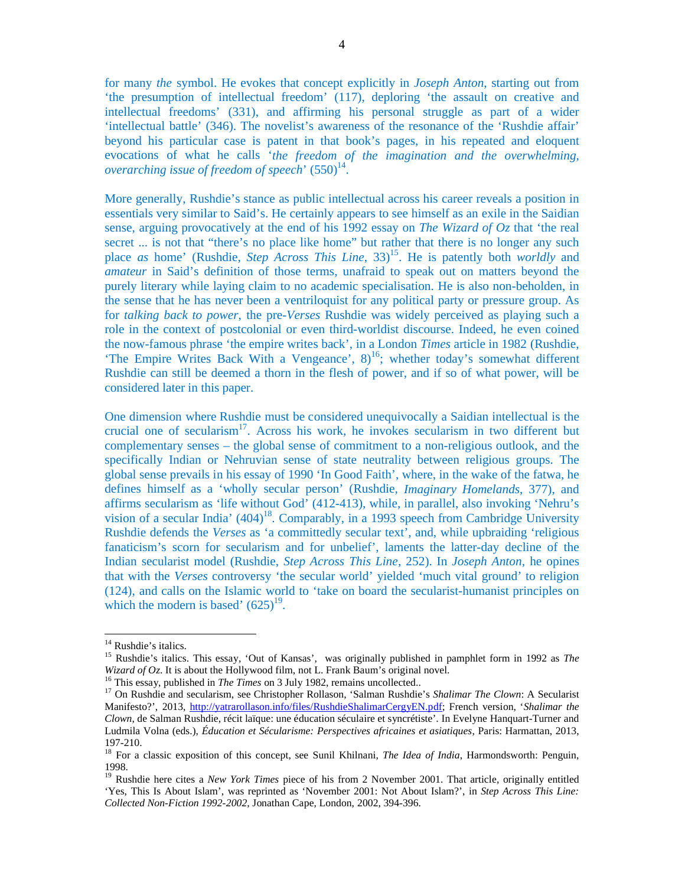for many *the* symbol. He evokes that concept explicitly in *Joseph Anton*, starting out from 'the presumption of intellectual freedom' (117), deploring 'the assault on creative and intellectual freedoms' (331), and affirming his personal struggle as part of a wider 'intellectual battle' (346). The novelist's awareness of the resonance of the 'Rushdie affair' beyond his particular case is patent in that book's pages, in his repeated and eloquent evocations of what he calls '*the freedom of the imagination and the overwhelming, overarching issue of freedom of speech*' (550)<sup>14</sup>.

More generally, Rushdie's stance as public intellectual across his career reveals a position in essentials very similar to Said's. He certainly appears to see himself as an exile in the Saidian sense, arguing provocatively at the end of his 1992 essay on *The Wizard of Oz* that 'the real secret ... is not that "there's no place like home" but rather that there is no longer any such place *as* home' (Rushdie, *Step Across This Line*, 33)<sup>15</sup>. He is patently both *worldly* and *amateur* in Said's definition of those terms, unafraid to speak out on matters beyond the purely literary while laying claim to no academic specialisation. He is also non-beholden, in the sense that he has never been a ventriloquist for any political party or pressure group. As for *talking back to power*, the pre-*Verses* Rushdie was widely perceived as playing such a role in the context of postcolonial or even third-worldist discourse. Indeed, he even coined the now-famous phrase 'the empire writes back', in a London *Times* article in 1982 (Rushdie, 'The Empire Writes Back With a Vengeance',  $8)^{16}$ ; whether today's somewhat different Rushdie can still be deemed a thorn in the flesh of power, and if so of what power, will be considered later in this paper.

One dimension where Rushdie must be considered unequivocally a Saidian intellectual is the crucial one of secularism<sup>17</sup>. Across his work, he invokes secularism in two different but complementary senses – the global sense of commitment to a non-religious outlook, and the specifically Indian or Nehruvian sense of state neutrality between religious groups. The global sense prevails in his essay of 1990 'In Good Faith', where, in the wake of the fatwa, he defines himself as a 'wholly secular person' (Rushdie, *Imaginary Homelands*, 377), and affirms secularism as 'life without God' (412-413), while, in parallel, also invoking 'Nehru's vision of a secular India'  $(404)^{18}$ . Comparably, in a 1993 speech from Cambridge University Rushdie defends the *Verses* as 'a committedly secular text', and, while upbraiding 'religious fanaticism's scorn for secularism and for unbelief', laments the latter-day decline of the Indian secularist model (Rushdie, *Step Across This Line*, 252). In *Joseph Anton,* he opines that with the *Verses* controversy 'the secular world' yielded 'much vital ground' to religion (124), and calls on the Islamic world to 'take on board the secularist-humanist principles on which the modern is based'  $(625)^{19}$ .

<sup>&</sup>lt;sup>14</sup> Rushdie's italics.

<sup>&</sup>lt;sup>15</sup> Rushdie's italics. This essay, 'Out of Kansas', was originally published in pamphlet form in 1992 as *The Wizard of Oz.* It is about the Hollywood film, not L. Frank Baum's original novel.<br><sup>16</sup> This essay, published in *The Times* on 3 July 1982, remains uncollected..<br><sup>17</sup> On Rushdie and secularism, see Christopher Rollason,

Manifesto?', 2013, http://yatrarollason.info/files/RushdieShalimarCergyEN.pdf; French version, '*Shalimar the Clown*, de Salman Rushdie, récit laïque: une éducation séculaire et syncrétiste'. In Evelyne Hanquart-Turner and Ludmila Volna (eds.), *Éducation et Sécularisme: Perspectives africaines et asiatiques*, Paris: Harmattan, 2013, 197-210.

<sup>&</sup>lt;sup>18</sup> For a classic exposition of this concept, see Sunil Khilnani, *The Idea of India*, Harmondsworth: Penguin, 1998.

<sup>&</sup>lt;sup>19</sup> Rushdie here cites a *New York Times* piece of his from 2 November 2001. That article, originally entitled 'Yes, This Is About Islam', was reprinted as 'November 2001: Not About Islam?', in *Step Across This Line: Collected Non-Fiction 1992-2002*, Jonathan Cape, London, 2002, 394-396.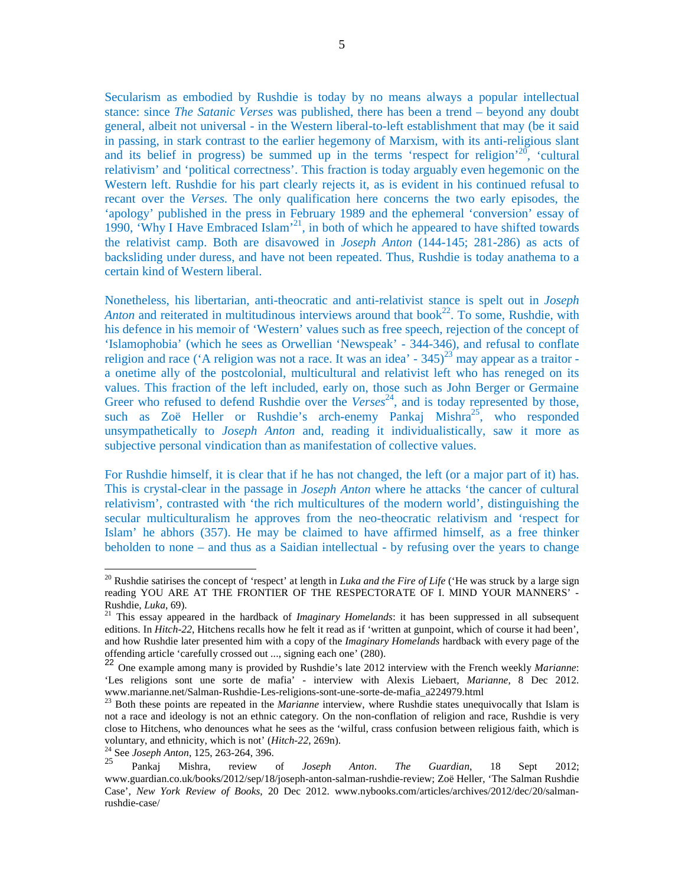Secularism as embodied by Rushdie is today by no means always a popular intellectual stance: since *The Satanic Verses* was published, there has been a trend – beyond any doubt general, albeit not universal - in the Western liberal-to-left establishment that may (be it said in passing, in stark contrast to the earlier hegemony of Marxism, with its anti-religious slant and its belief in progress) be summed up in the terms 'respect for religion'<sup>20</sup>, 'cultural relativism' and 'political correctness'. This fraction is today arguably even hegemonic on the Western left. Rushdie for his part clearly rejects it, as is evident in his continued refusal to recant over the *Verses*. The only qualification here concerns the two early episodes, the 'apology' published in the press in February 1989 and the ephemeral 'conversion' essay of 1990, 'Why I Have Embraced Islam'21, in both of which he appeared to have shifted towards the relativist camp. Both are disavowed in *Joseph Anton* (144-145; 281-286) as acts of backsliding under duress, and have not been repeated. Thus, Rushdie is today anathema to a certain kind of Western liberal.

Nonetheless, his libertarian, anti-theocratic and anti-relativist stance is spelt out in *Joseph Anton* and reiterated in multitudinous interviews around that book<sup>22</sup>. To some, Rushdie, with his defence in his memoir of 'Western' values such as free speech, rejection of the concept of 'Islamophobia' (which he sees as Orwellian 'Newspeak' - 344-346), and refusal to conflate religion and race ('A religion was not a race. It was an idea' -  $345$ )<sup>23</sup> may appear as a traitor a onetime ally of the postcolonial, multicultural and relativist left who has reneged on its values. This fraction of the left included, early on, those such as John Berger or Germaine Greer who refused to defend Rushdie over the *Verses*<sup>24</sup>, and is today represented by those, such as Zoë Heller or Rushdie's arch-enemy Pankaj Mishra<sup>25</sup>, who responded unsympathetically to *Joseph Anton* and, reading it individualistically, saw it more as subjective personal vindication than as manifestation of collective values.

For Rushdie himself, it is clear that if he has not changed, the left (or a major part of it) has. This is crystal-clear in the passage in *Joseph Anton* where he attacks 'the cancer of cultural relativism', contrasted with 'the rich multicultures of the modern world', distinguishing the secular multiculturalism he approves from the neo-theocratic relativism and 'respect for Islam' he abhors (357). He may be claimed to have affirmed himself, as a free thinker beholden to none – and thus as a Saidian intellectual - by refusing over the years to change

<sup>20</sup> Rushdie satirises the concept of 'respect' at length in *Luka and the Fire of Life* ('He was struck by a large sign reading YOU ARE AT THE FRONTIER OF THE RESPECTORATE OF I. MIND YOUR MANNERS' - Rushdie, *Luka*, 69). <sup>21</sup> This essay appeared in the hardback of *Imaginary Homelands*: it has been suppressed in all subsequent

editions. In *Hitch-22*, Hitchens recalls how he felt it read as if 'written at gunpoint, which of course it had been', and how Rushdie later presented him with a copy of the *Imaginary Homelands* hardback with every page of the offending article 'carefully crossed out ..., signing each one' (280).

<sup>22</sup> One example among many is provided by Rushdie's late 2012 interview with the French weekly *Marianne*: 'Les religions sont une sorte de mafia' - interview with Alexis Liebaert*, Marianne*, 8 Dec 2012. www.marianne.net/Salman-Rushdie-Les-religions-sont-une-sorte-de-mafia\_a224979.html

<sup>&</sup>lt;sup>23</sup> Both these points are repeated in the *Marianne* interview, where Rushdie states unequivocally that Islam is not a race and ideology is not an ethnic category. On the non-conflation of religion and race, Rushdie is very close to Hitchens, who denounces what he sees as the 'wilful, crass confusion between religious faith, which is voluntary, and ethnicity, which is not' (*Hitch-22*, 269n). <sup>24</sup> See *Joseph Anton*, 125, 263-264, 396.

<sup>25</sup> Pankaj Mishra, review of *Joseph Anton*. *The Guardian*, 18 Sept 2012; www.guardian.co.uk/books/2012/sep/18/joseph-anton-salman-rushdie-review; Zoë Heller, 'The Salman Rushdie Case', *New York Review of Books*, 20 Dec 2012. www.nybooks.com/articles/archives/2012/dec/20/salmanrushdie-case/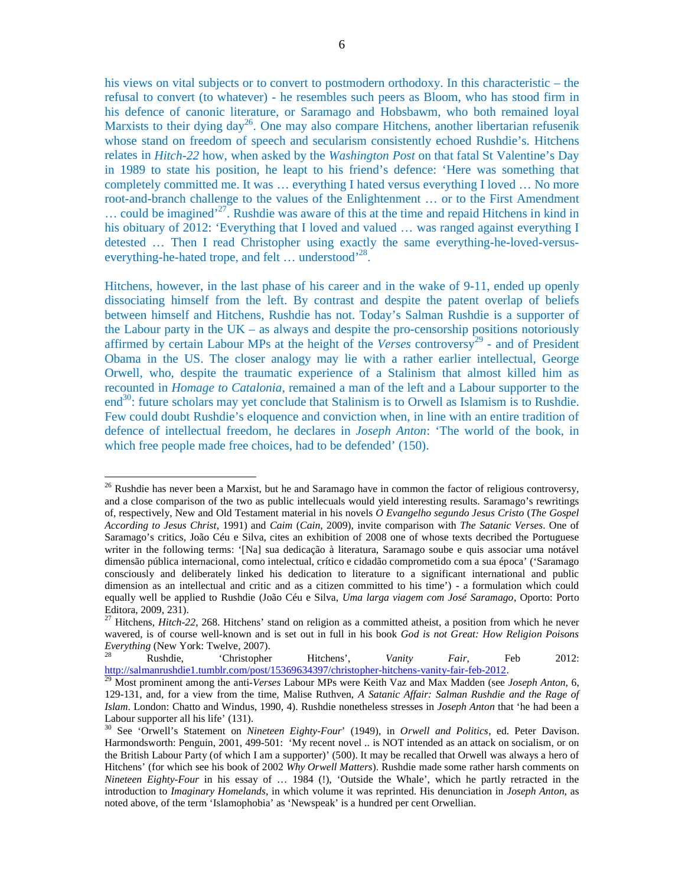his views on vital subjects or to convert to postmodern orthodoxy. In this characteristic – the refusal to convert (to whatever) - he resembles such peers as Bloom, who has stood firm in his defence of canonic literature, or Saramago and Hobsbawm, who both remained loyal Marxists to their dying day<sup>26</sup>. One may also compare Hitchens, another libertarian refusenik whose stand on freedom of speech and secularism consistently echoed Rushdie's. Hitchens relates in *Hitch-22* how, when asked by the *Washington Post* on that fatal St Valentine's Day in 1989 to state his position, he leapt to his friend's defence: 'Here was something that completely committed me. It was … everything I hated versus everything I loved … No more root-and-branch challenge to the values of the Enlightenment … or to the First Amendment  $\ldots$  could be imagined<sup>27</sup>. Rushdie was aware of this at the time and repaid Hitchens in kind in his obituary of 2012: 'Everything that I loved and valued ... was ranged against everything I detested … Then I read Christopher using exactly the same everything-he-loved-versuseverything-he-hated trope, and felt ... understood<sup>'28</sup>.

Hitchens, however, in the last phase of his career and in the wake of 9-11, ended up openly dissociating himself from the left. By contrast and despite the patent overlap of beliefs between himself and Hitchens, Rushdie has not. Today's Salman Rushdie is a supporter of the Labour party in the  $UK -$  as always and despite the pro-censorship positions notoriously affirmed by certain Labour MPs at the height of the *Verses* controversy<sup>29</sup> - and of President Obama in the US. The closer analogy may lie with a rather earlier intellectual, George Orwell, who, despite the traumatic experience of a Stalinism that almost killed him as recounted in *Homage to Catalonia*, remained a man of the left and a Labour supporter to the end<sup>30</sup>: future scholars may yet conclude that Stalinism is to Orwell as Islamism is to Rushdie. Few could doubt Rushdie's eloquence and conviction when, in line with an entire tradition of defence of intellectual freedom, he declares in *Joseph Anton*: 'The world of the book, in which free people made free choices, had to be defended' (150).

<sup>&</sup>lt;sup>26</sup> Rushdie has never been a Marxist, but he and Saramago have in common the factor of religious controversy, and a close comparison of the two as public intellecuals would yield interesting results. Saramago's rewritings of, respectively, New and Old Testament material in his novels *O Evangelho segundo Jesus Cristo* (*The Gospel According to Jesus Christ*, 1991) and *Caim* (*Cain*, 2009), invite comparison with *The Satanic Verses*. One of Saramago's critics, João Céu e Silva, cites an exhibition of 2008 one of whose texts decribed the Portuguese writer in the following terms: '[Na] sua dedicação à literatura, Saramago soube e quis associar uma notável dimensão pública internacional, como intelectual, crítico e cidadão comprometido com a sua época' ('Saramago consciously and deliberately linked his dedication to literature to a significant international and public dimension as an intellectual and critic and as a citizen committed to his time') - a formulation which could equally well be applied to Rushdie (João Céu e Silva, *Uma larga viagem com José Saramago*, Oporto: Porto Editora, 2009, 231).

<sup>&</sup>lt;sup>27</sup> Hitchens, *Hitch-22*, 268. Hitchens' stand on religion as a committed atheist, a position from which he never wavered, is of course well-known and is set out in full in his book *God is not Great: How Religion Poisons* 

*Everything* (New York: Twelve, 2007).<br><sup>28</sup> Rushdie, 'Christopher Hitchens', *Vanity Fair*, Feb 2012:<br>http://salmanrushdie1.tumblr.com/post/15369634397/christopher-hitchens-vanity-fair-feb-2012.

<sup>&</sup>lt;sup>29</sup> Most prominent among the anti-*Verses* Labour MPs were Keith Vaz and Max Madden (see *Joseph Anton*, 6, 129-131, and, for a view from the time, Malise Ruthven, *A Satanic Affair: Salman Rushdie and the Rage of Islam*. London: Chatto and Windus, 1990, 4). Rushdie nonetheless stresses in *Joseph Anton* that 'he had been a Labour supporter all his life' (131).

<sup>30</sup> See 'Orwell's Statement on *Nineteen Eighty-Four*' (1949), in *Orwell and Politics*, ed. Peter Davison. Harmondsworth: Penguin, 2001, 499-501: 'My recent novel .. is NOT intended as an attack on socialism, or on the British Labour Party (of which I am a supporter)' (500). It may be recalled that Orwell was always a hero of Hitchens' (for which see his book of 2002 *Why Orwell Matters*). Rushdie made some rather harsh comments on *Nineteen Eighty-Four* in his essay of … 1984 (!), 'Outside the Whale', which he partly retracted in the introduction to *Imaginary Homelands*, in which volume it was reprinted. His denunciation in *Joseph Anton*, as noted above, of the term 'Islamophobia' as 'Newspeak' is a hundred per cent Orwellian.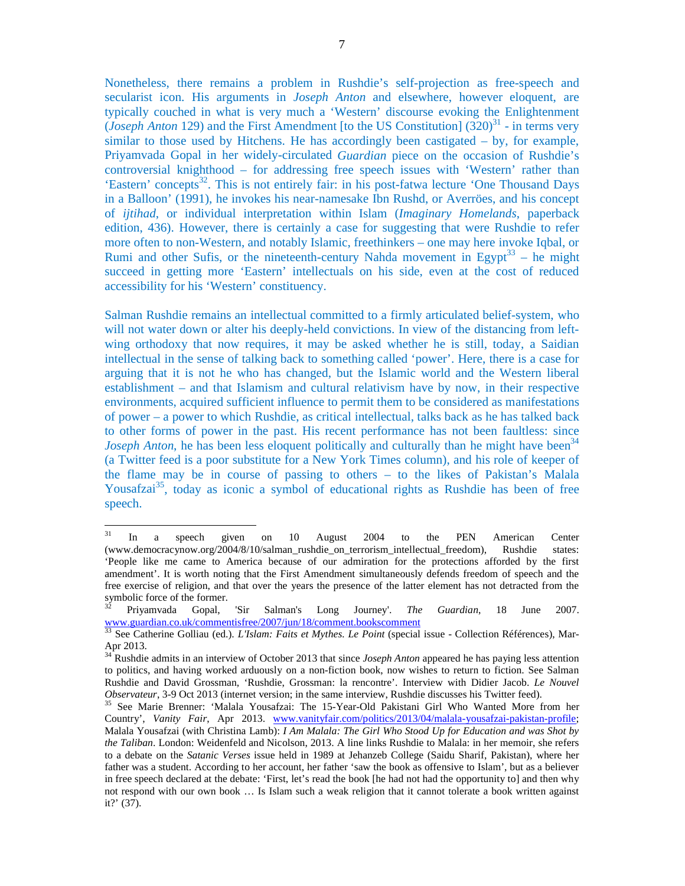Nonetheless, there remains a problem in Rushdie's self-projection as free-speech and secularist icon. His arguments in *Joseph Anton* and elsewhere, however eloquent, are typically couched in what is very much a 'Western' discourse evoking the Enlightenment (*Joseph Anton* 129) and the First Amendment [to the US Constitution]  $(320)^{31}$  - in terms very similar to those used by Hitchens. He has accordingly been castigated – by, for example, Priyamvada Gopal in her widely-circulated *Guardian* piece on the occasion of Rushdie's controversial knighthood – for addressing free speech issues with 'Western' rather than 'Eastern' concepts<sup>32</sup>. This is not entirely fair: in his post-fatwa lecture 'One Thousand Days in a Balloon' (1991), he invokes his near-namesake Ibn Rushd, or Averröes, and his concept of *ijtihad*, or individual interpretation within Islam (*Imaginary Homelands*, paperback edition, 436). However, there is certainly a case for suggesting that were Rushdie to refer more often to non-Western, and notably Islamic, freethinkers – one may here invoke Iqbal, or Rumi and other Sufis, or the nineteenth-century Nahda movement in Egypt<sup>33</sup> – he might succeed in getting more 'Eastern' intellectuals on his side, even at the cost of reduced accessibility for his 'Western' constituency.

Salman Rushdie remains an intellectual committed to a firmly articulated belief-system, who will not water down or alter his deeply-held convictions. In view of the distancing from leftwing orthodoxy that now requires, it may be asked whether he is still, today, a Saidian intellectual in the sense of talking back to something called 'power'. Here, there is a case for arguing that it is not he who has changed, but the Islamic world and the Western liberal establishment – and that Islamism and cultural relativism have by now, in their respective environments, acquired sufficient influence to permit them to be considered as manifestations of power – a power to which Rushdie, as critical intellectual, talks back as he has talked back to other forms of power in the past. His recent performance has not been faultless: since *Joseph Anton*, he has been less eloquent politically and culturally than he might have been<sup>34</sup> (a Twitter feed is a poor substitute for a New York Times column), and his role of keeper of the flame may be in course of passing to others – to the likes of Pakistan's Malala Yousafzai<sup>35</sup>, today as iconic a symbol of educational rights as Rushdie has been of free speech.

<sup>31</sup> <sup>31</sup> In a speech given on 10 August 2004 to the PEN American Center (www.democracynow.org/2004/8/10/salman\_rushdie\_on\_terrorism\_intellectual\_freedom), Rushdie states: 'People like me came to America because of our admiration for the protections afforded by the first amendment'. It is worth noting that the First Amendment simultaneously defends freedom of speech and the free exercise of religion, and that over the years the presence of the latter element has not detracted from the symbolic force of the former.

<sup>32</sup> Priyamvada Gopal, 'Sir Salman's Long Journey'. *The Guardian*, 18 June 2007. www.guardian.co.uk/commentisfree/2007/jun/18/comment.bookscomment

<sup>33</sup> See Catherine Golliau (ed.). *L'Islam: Faits et Mythes. Le Point* (special issue - Collection Références), Mar-Apr 2013.

<sup>&</sup>lt;sup>34</sup> Rushdie admits in an interview of October 2013 that since *Joseph Anton* appeared he has paying less attention to politics, and having worked arduously on a non-fiction book, now wishes to return to fiction. See Salman Rushdie and David Grossman, 'Rushdie, Grossman: la rencontre'. Interview with Didier Jacob. *Le Nouvel Observateur*, 3-9 Oct 2013 (internet version; in the same interview, Rushdie discusses his Twitter feed). <sup>35</sup> See Marie Brenner: 'Malala Yousafzai: The 15-Year-Old Pakistani Girl Who Wanted More from her

Country', Vanity Fair, Apr 2013. www.vanityfair.com/politics/2013/04/malala-yousafzai-pakistan-profile; Malala Yousafzai (with Christina Lamb): *I Am Malala: The Girl Who Stood Up for Education and was Shot by the Taliban*. London: Weidenfeld and Nicolson, 2013. A line links Rushdie to Malala: in her memoir, she refers to a debate on the *Satanic Verses* issue held in 1989 at Jehanzeb College (Saidu Sharif, Pakistan), where her father was a student. According to her account, her father 'saw the book as offensive to Islam', but as a believer in free speech declared at the debate: 'First, let's read the book [he had not had the opportunity to] and then why not respond with our own book … Is Islam such a weak religion that it cannot tolerate a book written against it?'  $(37)$ .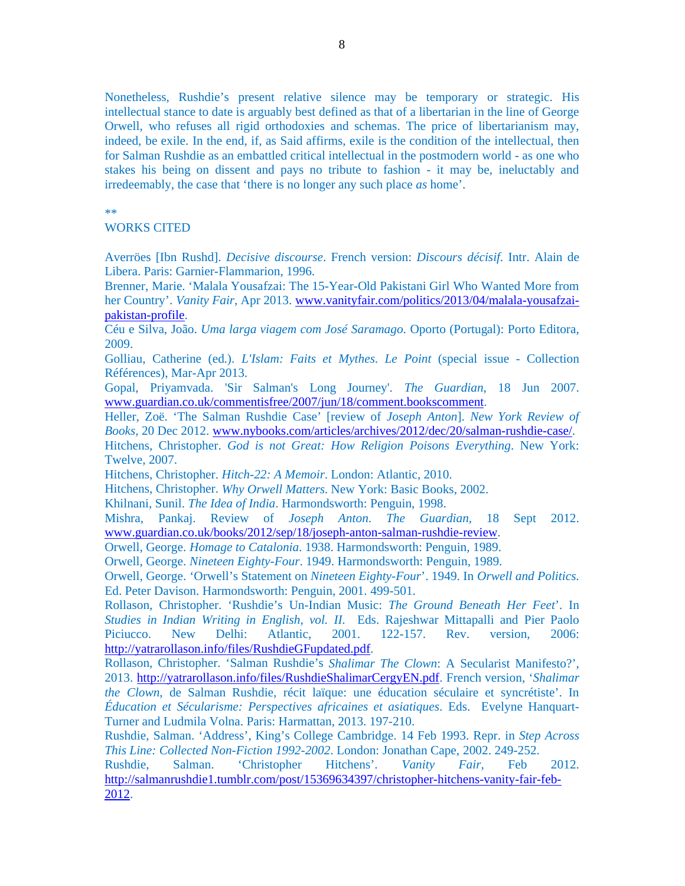Nonetheless, Rushdie's present relative silence may be temporary or strategic. His intellectual stance to date is arguably best defined as that of a libertarian in the line of George Orwell, who refuses all rigid orthodoxies and schemas. The price of libertarianism may, indeed, be exile. In the end, if, as Said affirms, exile is the condition of the intellectual, then for Salman Rushdie as an embattled critical intellectual in the postmodern world - as one who stakes his being on dissent and pays no tribute to fashion - it may be, ineluctably and irredeemably, the case that 'there is no longer any such place *as* home'.

\*\*

WORKS CITED

Averröes [Ibn Rushd]. *Decisive discourse*. French version: *Discours décisif*. Intr. Alain de Libera. Paris: Garnier-Flammarion, 1996.

Brenner, Marie. 'Malala Yousafzai: The 15-Year-Old Pakistani Girl Who Wanted More from her Country'. *Vanity Fair*, Apr 2013. www.vanityfair.com/politics/2013/04/malala-yousafzaipakistan-profile.

Céu e Silva, João. *Uma larga viagem com José Saramago*. Oporto (Portugal): Porto Editora, 2009.

Golliau, Catherine (ed.). *L'Islam: Faits et Mythes*. *Le Point* (special issue - Collection Références), Mar-Apr 2013.

Gopal, Priyamvada. 'Sir Salman's Long Journey'. *The Guardian*, 18 Jun 2007. www.guardian.co.uk/commentisfree/2007/jun/18/comment.bookscomment.

Heller, Zoë. 'The Salman Rushdie Case' [review of *Joseph Anton*]. *New York Review of Books*, 20 Dec 2012. www.nybooks.com/articles/archives/2012/dec/20/salman-rushdie-case/.

Hitchens, Christopher. *God is not Great: How Religion Poisons Everything*. New York: Twelve, 2007.

Hitchens, Christopher. *Hitch-22: A Memoir*. London: Atlantic, 2010.

Hitchens, Christopher. *Why Orwell Matters*. New York: Basic Books, 2002.

Khilnani, Sunil. *The Idea of India*. Harmondsworth: Penguin, 1998.

Mishra, Pankaj. Review of *Joseph Anton*. *The Guardian*, 18 Sept 2012. www.guardian.co.uk/books/2012/sep/18/joseph-anton-salman-rushdie-review.

Orwell, George. *Homage to Catalonia*. 1938. Harmondsworth: Penguin, 1989.

Orwell, George. *Nineteen Eighty-Four*. 1949. Harmondsworth: Penguin, 1989.

Orwell, George. 'Orwell's Statement on *Nineteen Eighty-Four*'. 1949. In *Orwell and Politics*. Ed. Peter Davison. Harmondsworth: Penguin, 2001. 499-501.

Rollason, Christopher. 'Rushdie's Un-Indian Music: *The Ground Beneath Her Feet*'. In *Studies in Indian Writing in English, vol. II.* Eds. Rajeshwar Mittapalli and Pier Paolo Piciucco. New Delhi: Atlantic, 2001. 122-157. Rev. version, 2006: http://yatrarollason.info/files/RushdieGFupdated.pdf.

Rollason, Christopher. 'Salman Rushdie's *Shalimar The Clown*: A Secularist Manifesto?', 2013. http://yatrarollason.info/files/RushdieShalimarCergyEN.pdf. French version, '*Shalimar the Clown*, de Salman Rushdie, récit laïque: une éducation séculaire et syncrétiste'. In *Éducation et Sécularisme: Perspectives africaines et asiatiques*. Eds. Evelyne Hanquart-Turner and Ludmila Volna. Paris: Harmattan, 2013. 197-210.

Rushdie, Salman. 'Address', King's College Cambridge. 14 Feb 1993. Repr. in *Step Across This Line: Collected Non-Fiction 1992-2002*. London: Jonathan Cape, 2002. 249-252.

Rushdie, Salman. 'Christopher Hitchens'. *Vanity Fair,* Feb 2012. http://salmanrushdie1.tumblr.com/post/15369634397/christopher-hitchens-vanity-fair-feb-2012.